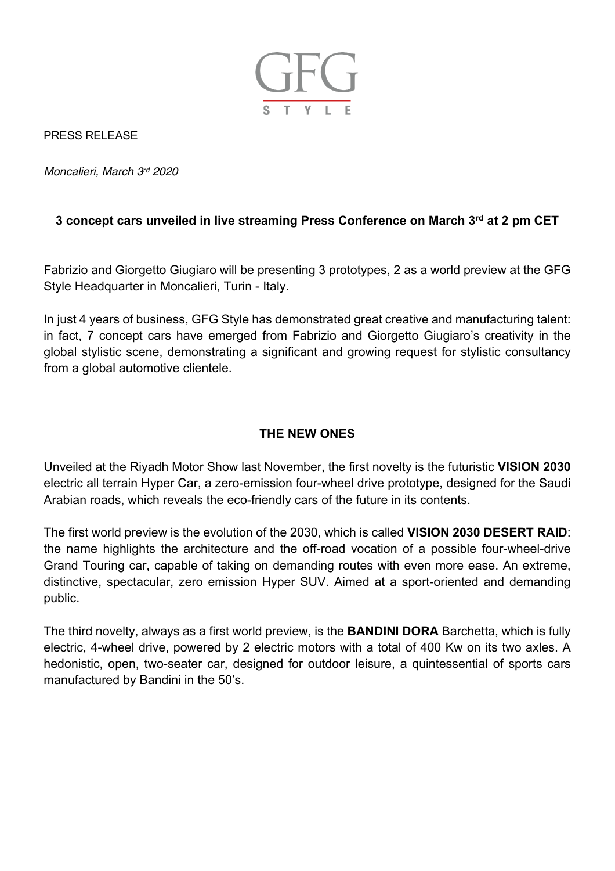

PRESS RELEASE

*Moncalieri, March 3rd 2020*

## **3 concept cars unveiled in live streaming Press Conference on March 3rd at 2 pm CET**

Fabrizio and Giorgetto Giugiaro will be presenting 3 prototypes, 2 as a world preview at the GFG Style Headquarter in Moncalieri, Turin - Italy.

In just 4 years of business, GFG Style has demonstrated great creative and manufacturing talent: in fact, 7 concept cars have emerged from Fabrizio and Giorgetto Giugiaro's creativity in the global stylistic scene, demonstrating a significant and growing request for stylistic consultancy from a global automotive clientele.

## **THE NEW ONES**

Unveiled at the Riyadh Motor Show last November, the first novelty is the futuristic **VISION 2030** electric all terrain Hyper Car, a zero-emission four-wheel drive prototype, designed for the Saudi Arabian roads, which reveals the eco-friendly cars of the future in its contents.

The first world preview is the evolution of the 2030, which is called **VISION 2030 DESERT RAID**: the name highlights the architecture and the off-road vocation of a possible four-wheel-drive Grand Touring car, capable of taking on demanding routes with even more ease. An extreme, distinctive, spectacular, zero emission Hyper SUV. Aimed at a sport-oriented and demanding public.

The third novelty, always as a first world preview, is the **BANDINI DORA** Barchetta, which is fully electric, 4-wheel drive, powered by 2 electric motors with a total of 400 Kw on its two axles. A hedonistic, open, two-seater car, designed for outdoor leisure, a quintessential of sports cars manufactured by Bandini in the 50's.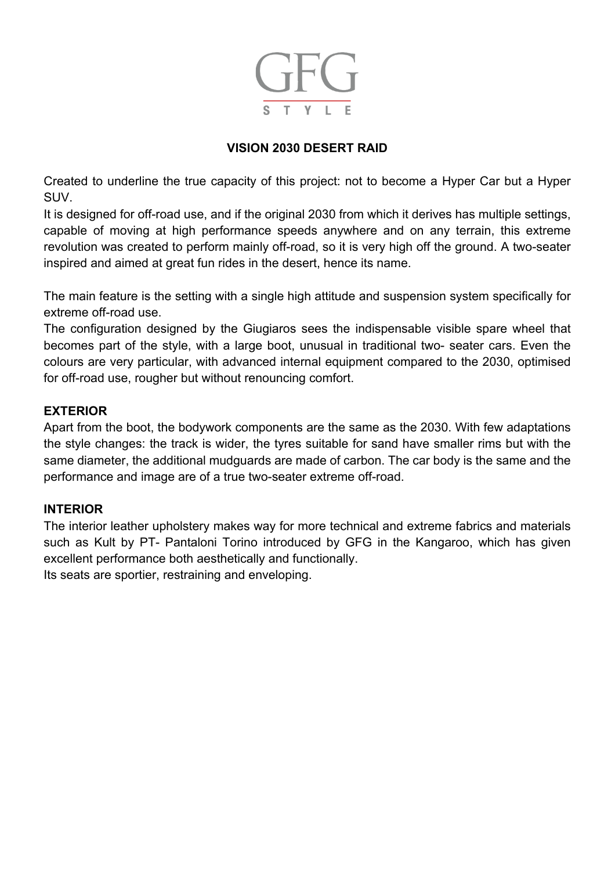

## **VISION 2030 DESERT RAID**

Created to underline the true capacity of this project: not to become a Hyper Car but a Hyper SUV.

It is designed for off-road use, and if the original 2030 from which it derives has multiple settings, capable of moving at high performance speeds anywhere and on any terrain, this extreme revolution was created to perform mainly off-road, so it is very high off the ground. A two-seater inspired and aimed at great fun rides in the desert, hence its name.

The main feature is the setting with a single high attitude and suspension system specifically for extreme off-road use.

The configuration designed by the Giugiaros sees the indispensable visible spare wheel that becomes part of the style, with a large boot, unusual in traditional two- seater cars. Even the colours are very particular, with advanced internal equipment compared to the 2030, optimised for off-road use, rougher but without renouncing comfort.

### **EXTERIOR**

Apart from the boot, the bodywork components are the same as the 2030. With few adaptations the style changes: the track is wider, the tyres suitable for sand have smaller rims but with the same diameter, the additional mudguards are made of carbon. The car body is the same and the performance and image are of a true two-seater extreme off-road.

#### **INTERIOR**

The interior leather upholstery makes way for more technical and extreme fabrics and materials such as Kult by PT- Pantaloni Torino introduced by GFG in the Kangaroo, which has given excellent performance both aesthetically and functionally. Its seats are sportier, restraining and enveloping.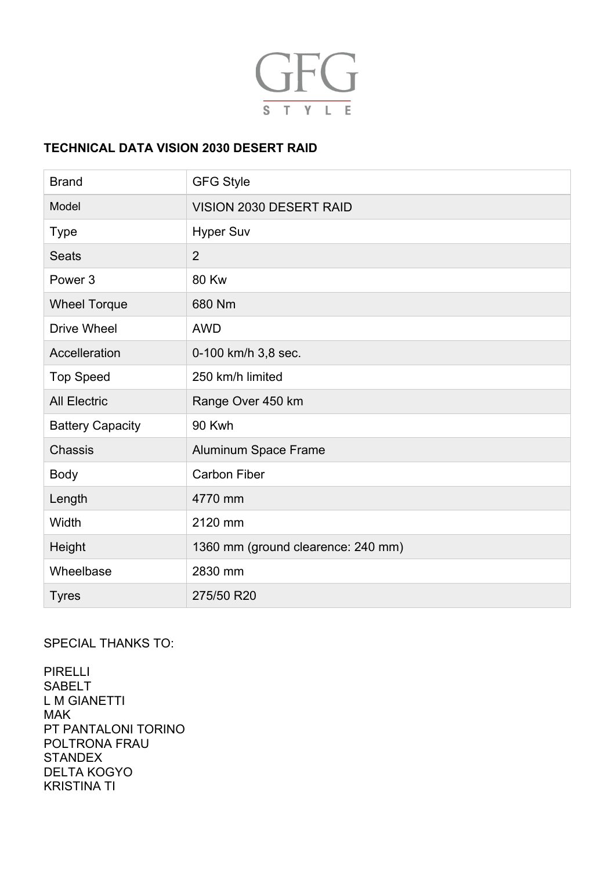

## **TECHNICAL DATA VISION 2030 DESERT RAID**

| <b>Brand</b>            | <b>GFG Style</b>                   |
|-------------------------|------------------------------------|
| Model                   | VISION 2030 DESERT RAID            |
| <b>Type</b>             | <b>Hyper Suv</b>                   |
| <b>Seats</b>            | $\overline{2}$                     |
| Power <sub>3</sub>      | <b>80 Kw</b>                       |
| <b>Wheel Torque</b>     | 680 Nm                             |
| <b>Drive Wheel</b>      | <b>AWD</b>                         |
| Accelleration           | 0-100 km/h 3,8 sec.                |
| <b>Top Speed</b>        | 250 km/h limited                   |
| <b>All Electric</b>     | Range Over 450 km                  |
| <b>Battery Capacity</b> | 90 Kwh                             |
| Chassis                 | Aluminum Space Frame               |
| <b>Body</b>             | <b>Carbon Fiber</b>                |
| Length                  | 4770 mm                            |
| Width                   | 2120 mm                            |
| Height                  | 1360 mm (ground clearence: 240 mm) |
| Wheelbase               | 2830 mm                            |
| <b>Tyres</b>            | 275/50 R20                         |

## SPECIAL THANKS TO:

PIRELLI SABELT L M GIANETTI MAK PT PANTALONI TORINO POLTRONA FRAU **STANDEX** DELTA KOGYO KRISTINA TI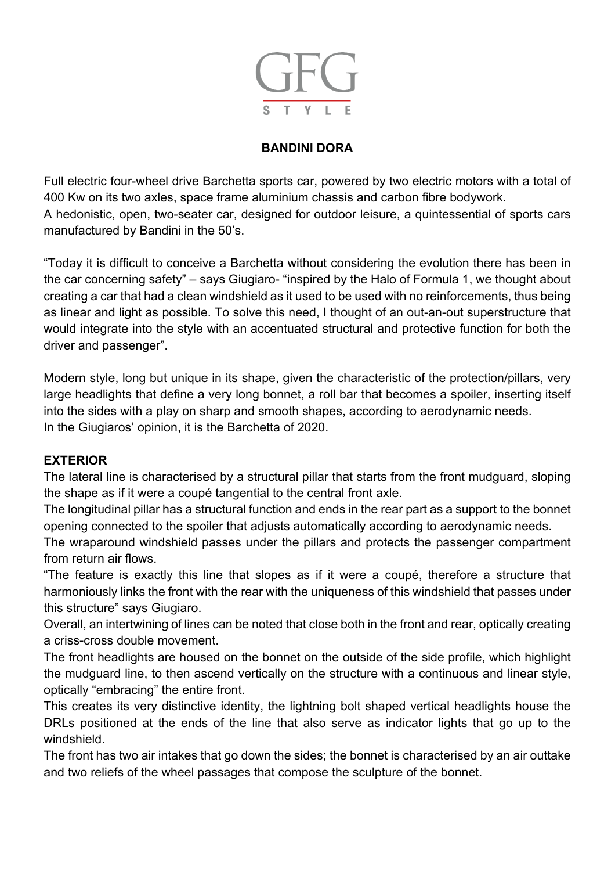

# **BANDINI DORA**

Full electric four-wheel drive Barchetta sports car, powered by two electric motors with a total of 400 Kw on its two axles, space frame aluminium chassis and carbon fibre bodywork. A hedonistic, open, two-seater car, designed for outdoor leisure, a quintessential of sports cars manufactured by Bandini in the 50's.

"Today it is difficult to conceive a Barchetta without considering the evolution there has been in the car concerning safety" – says Giugiaro- "inspired by the Halo of Formula 1, we thought about creating a car that had a clean windshield as it used to be used with no reinforcements, thus being as linear and light as possible. To solve this need, I thought of an out-an-out superstructure that would integrate into the style with an accentuated structural and protective function for both the driver and passenger".

Modern style, long but unique in its shape, given the characteristic of the protection/pillars, very large headlights that define a very long bonnet, a roll bar that becomes a spoiler, inserting itself into the sides with a play on sharp and smooth shapes, according to aerodynamic needs. In the Giugiaros' opinion, it is the Barchetta of 2020.

### **EXTERIOR**

The lateral line is characterised by a structural pillar that starts from the front mudguard, sloping the shape as if it were a coupé tangential to the central front axle.

The longitudinal pillar has a structural function and ends in the rear part as a support to the bonnet opening connected to the spoiler that adjusts automatically according to aerodynamic needs.

The wraparound windshield passes under the pillars and protects the passenger compartment from return air flows.

"The feature is exactly this line that slopes as if it were a coupé, therefore a structure that harmoniously links the front with the rear with the uniqueness of this windshield that passes under this structure" says Giugiaro.

Overall, an intertwining of lines can be noted that close both in the front and rear, optically creating a criss-cross double movement.

The front headlights are housed on the bonnet on the outside of the side profile, which highlight the mudguard line, to then ascend vertically on the structure with a continuous and linear style, optically "embracing" the entire front.

This creates its very distinctive identity, the lightning bolt shaped vertical headlights house the DRLs positioned at the ends of the line that also serve as indicator lights that go up to the windshield.

The front has two air intakes that go down the sides; the bonnet is characterised by an air outtake and two reliefs of the wheel passages that compose the sculpture of the bonnet.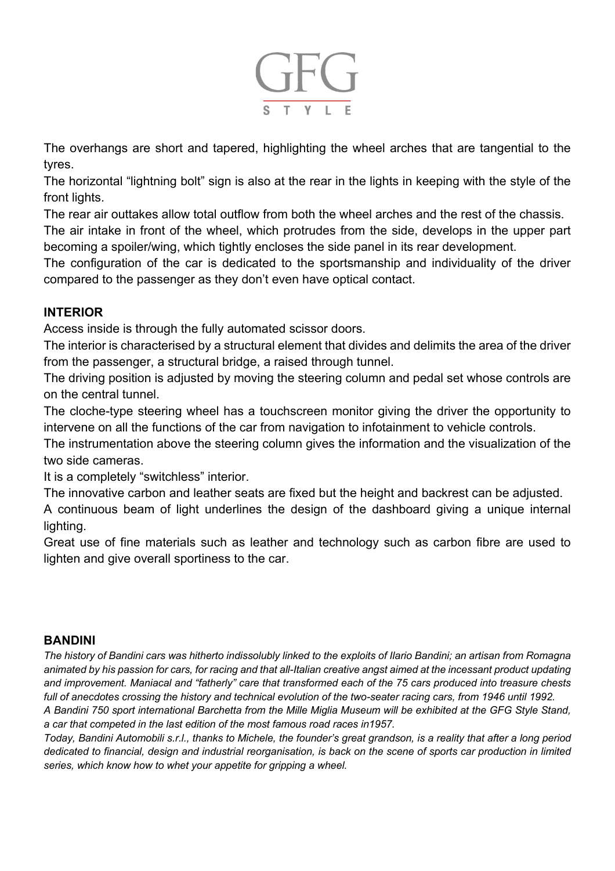

The overhangs are short and tapered, highlighting the wheel arches that are tangential to the tyres.

The horizontal "lightning bolt" sign is also at the rear in the lights in keeping with the style of the front lights.

The rear air outtakes allow total outflow from both the wheel arches and the rest of the chassis. The air intake in front of the wheel, which protrudes from the side, develops in the upper part becoming a spoiler/wing, which tightly encloses the side panel in its rear development.

The configuration of the car is dedicated to the sportsmanship and individuality of the driver compared to the passenger as they don't even have optical contact.

## **INTERIOR**

Access inside is through the fully automated scissor doors.

The interior is characterised by a structural element that divides and delimits the area of the driver from the passenger, a structural bridge, a raised through tunnel.

The driving position is adjusted by moving the steering column and pedal set whose controls are on the central tunnel.

The cloche-type steering wheel has a touchscreen monitor giving the driver the opportunity to intervene on all the functions of the car from navigation to infotainment to vehicle controls.

The instrumentation above the steering column gives the information and the visualization of the two side cameras.

It is a completely "switchless" interior.

The innovative carbon and leather seats are fixed but the height and backrest can be adjusted.

A continuous beam of light underlines the design of the dashboard giving a unique internal lighting.

Great use of fine materials such as leather and technology such as carbon fibre are used to lighten and give overall sportiness to the car.

### **BANDINI**

*The history of Bandini cars was hitherto indissolubly linked to the exploits of Ilario Bandini; an artisan from Romagna animated by his passion for cars, for racing and that all-Italian creative angst aimed at the incessant product updating and improvement. Maniacal and "fatherly" care that transformed each of the 75 cars produced into treasure chests full of anecdotes crossing the history and technical evolution of the two-seater racing cars, from 1946 until 1992.*

*A Bandini 750 sport international Barchetta from the Mille Miglia Museum will be exhibited at the GFG Style Stand, a car that competed in the last edition of the most famous road races in1957.*

*Today, Bandini Automobili s.r.l., thanks to Michele, the founder's great grandson, is a reality that after a long period dedicated to financial, design and industrial reorganisation, is back on the scene of sports car production in limited series, which know how to whet your appetite for gripping a wheel.*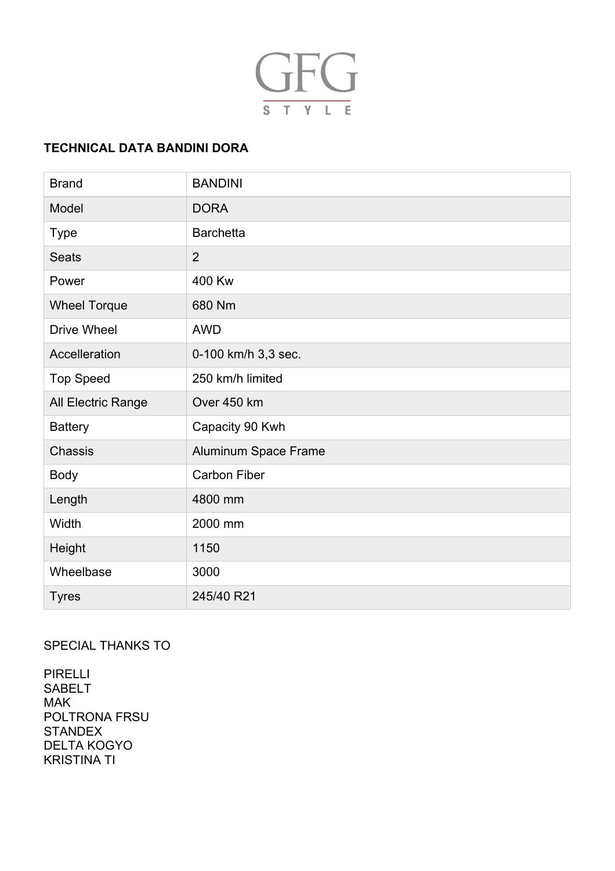

# **TECHNICAL DATA BANDINI DORA**

| <b>Brand</b>        | <b>BANDINI</b>       |
|---------------------|----------------------|
| Model               | <b>DORA</b>          |
| <b>Type</b>         | <b>Barchetta</b>     |
| <b>Seats</b>        | $\overline{2}$       |
| Power               | 400 Kw               |
| <b>Wheel Torque</b> | 680 Nm               |
| <b>Drive Wheel</b>  | <b>AWD</b>           |
| Accelleration       | 0-100 km/h 3,3 sec.  |
| <b>Top Speed</b>    | 250 km/h limited     |
| All Electric Range  | Over 450 km          |
| <b>Battery</b>      | Capacity 90 Kwh      |
| Chassis             | Aluminum Space Frame |
| <b>Body</b>         | <b>Carbon Fiber</b>  |
| Length              | 4800 mm              |
| Width               | 2000 mm              |
| Height              | 1150                 |
| Wheelbase           | 3000                 |
| <b>Tyres</b>        | 245/40 R21           |

# SPECIAL THANKS TO

PIRELLI SABELT MAK POLTRONA FRSU **STANDEX** DELTA KOGYO KRISTINA TI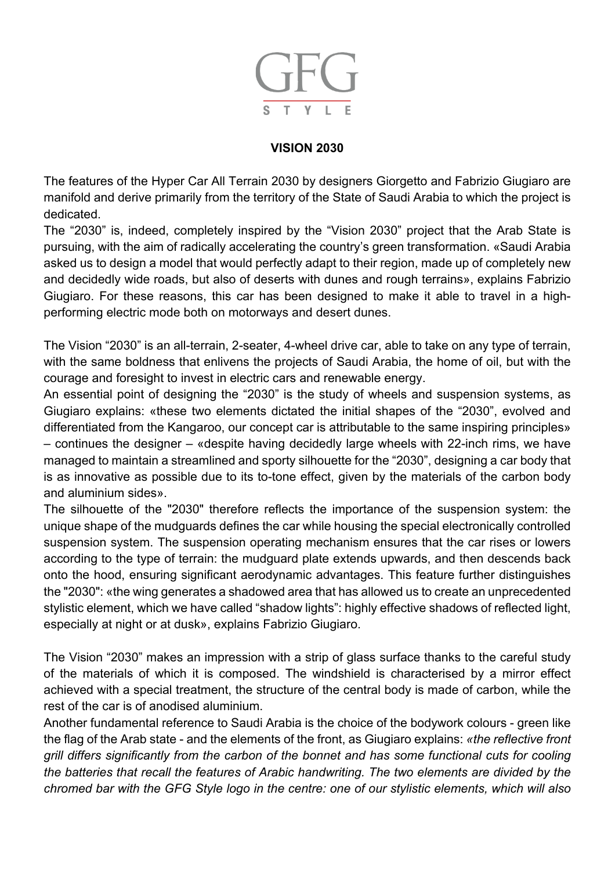

## **VISION 2030**

The features of the Hyper Car All Terrain 2030 by designers Giorgetto and Fabrizio Giugiaro are manifold and derive primarily from the territory of the State of Saudi Arabia to which the project is dedicated.

The "2030" is, indeed, completely inspired by the "Vision 2030" project that the Arab State is pursuing, with the aim of radically accelerating the country's green transformation. «Saudi Arabia asked us to design a model that would perfectly adapt to their region, made up of completely new and decidedly wide roads, but also of deserts with dunes and rough terrains», explains Fabrizio Giugiaro. For these reasons, this car has been designed to make it able to travel in a highperforming electric mode both on motorways and desert dunes.

The Vision "2030" is an all-terrain, 2-seater, 4-wheel drive car, able to take on any type of terrain, with the same boldness that enlivens the projects of Saudi Arabia, the home of oil, but with the courage and foresight to invest in electric cars and renewable energy.

An essential point of designing the "2030" is the study of wheels and suspension systems, as Giugiaro explains: «these two elements dictated the initial shapes of the "2030", evolved and differentiated from the Kangaroo, our concept car is attributable to the same inspiring principles» – continues the designer – «despite having decidedly large wheels with 22-inch rims, we have managed to maintain a streamlined and sporty silhouette for the "2030", designing a car body that is as innovative as possible due to its to-tone effect, given by the materials of the carbon body and aluminium sides».

The silhouette of the "2030" therefore reflects the importance of the suspension system: the unique shape of the mudguards defines the car while housing the special electronically controlled suspension system. The suspension operating mechanism ensures that the car rises or lowers according to the type of terrain: the mudguard plate extends upwards, and then descends back onto the hood, ensuring significant aerodynamic advantages. This feature further distinguishes the "2030": «the wing generates a shadowed area that has allowed us to create an unprecedented stylistic element, which we have called "shadow lights": highly effective shadows of reflected light, especially at night or at dusk», explains Fabrizio Giugiaro.

The Vision "2030" makes an impression with a strip of glass surface thanks to the careful study of the materials of which it is composed. The windshield is characterised by a mirror effect achieved with a special treatment, the structure of the central body is made of carbon, while the rest of the car is of anodised aluminium.

Another fundamental reference to Saudi Arabia is the choice of the bodywork colours - green like the flag of the Arab state - and the elements of the front, as Giugiaro explains: *«the reflective front grill differs significantly from the carbon of the bonnet and has some functional cuts for cooling the batteries that recall the features of Arabic handwriting. The two elements are divided by the chromed bar with the GFG Style logo in the centre: one of our stylistic elements, which will also*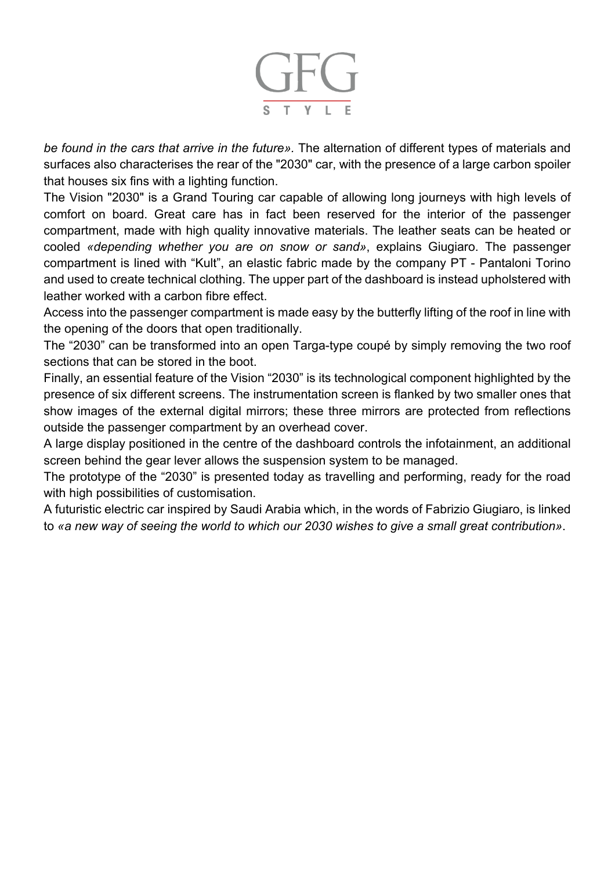

*be found in the cars that arrive in the future».* The alternation of different types of materials and surfaces also characterises the rear of the "2030" car, with the presence of a large carbon spoiler that houses six fins with a lighting function.

The Vision "2030" is a Grand Touring car capable of allowing long journeys with high levels of comfort on board. Great care has in fact been reserved for the interior of the passenger compartment, made with high quality innovative materials. The leather seats can be heated or cooled *«depending whether you are on snow or sand»*, explains Giugiaro. The passenger compartment is lined with "Kult", an elastic fabric made by the company PT - Pantaloni Torino and used to create technical clothing. The upper part of the dashboard is instead upholstered with leather worked with a carbon fibre effect.

Access into the passenger compartment is made easy by the butterfly lifting of the roof in line with the opening of the doors that open traditionally.

The "2030" can be transformed into an open Targa-type coupé by simply removing the two roof sections that can be stored in the boot.

Finally, an essential feature of the Vision "2030" is its technological component highlighted by the presence of six different screens. The instrumentation screen is flanked by two smaller ones that show images of the external digital mirrors; these three mirrors are protected from reflections outside the passenger compartment by an overhead cover.

A large display positioned in the centre of the dashboard controls the infotainment, an additional screen behind the gear lever allows the suspension system to be managed.

The prototype of the "2030" is presented today as travelling and performing, ready for the road with high possibilities of customisation.

A futuristic electric car inspired by Saudi Arabia which, in the words of Fabrizio Giugiaro, is linked to *«a new way of seeing the world to which our 2030 wishes to give a small great contribution»*.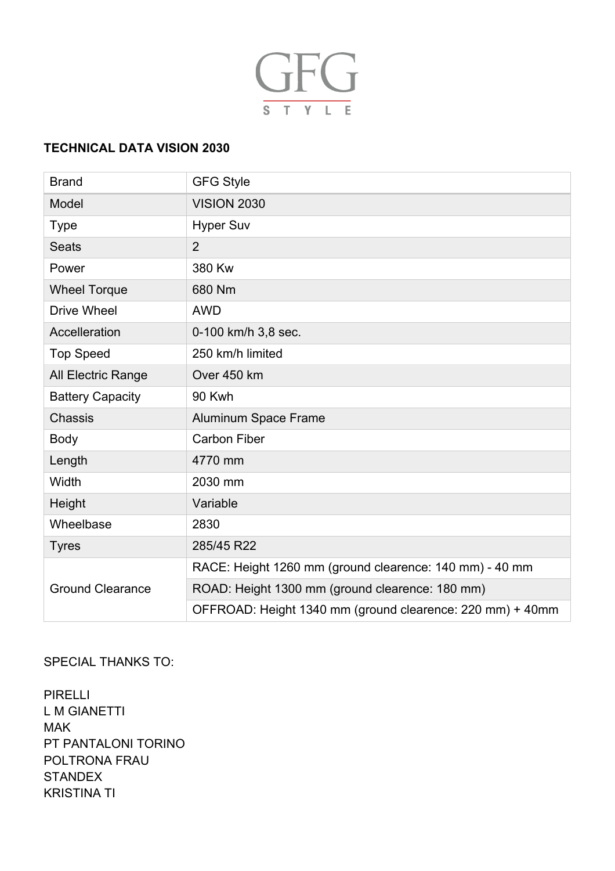

## **TECHNICAL DATA VISION 2030**

| <b>Brand</b>            | <b>GFG Style</b>                                          |
|-------------------------|-----------------------------------------------------------|
| Model                   | <b>VISION 2030</b>                                        |
| <b>Type</b>             | <b>Hyper Suv</b>                                          |
| <b>Seats</b>            | $\overline{2}$                                            |
| Power                   | 380 Kw                                                    |
| <b>Wheel Torque</b>     | 680 Nm                                                    |
| <b>Drive Wheel</b>      | <b>AWD</b>                                                |
| Accelleration           | 0-100 km/h 3,8 sec.                                       |
| <b>Top Speed</b>        | 250 km/h limited                                          |
| All Electric Range      | Over 450 km                                               |
| <b>Battery Capacity</b> | 90 Kwh                                                    |
| Chassis                 | <b>Aluminum Space Frame</b>                               |
| <b>Body</b>             | <b>Carbon Fiber</b>                                       |
| Length                  | 4770 mm                                                   |
| Width                   | 2030 mm                                                   |
| Height                  | Variable                                                  |
| Wheelbase               | 2830                                                      |
| <b>Tyres</b>            | 285/45 R22                                                |
| <b>Ground Clearance</b> | RACE: Height 1260 mm (ground clearence: 140 mm) - 40 mm   |
|                         | ROAD: Height 1300 mm (ground clearence: 180 mm)           |
|                         | OFFROAD: Height 1340 mm (ground clearence: 220 mm) + 40mm |

### SPECIAL THANKS TO:

PIRELLI L M GIANETTI MAK PT PANTALONI TORINO POLTRONA FRAU **STANDEX** KRISTINA TI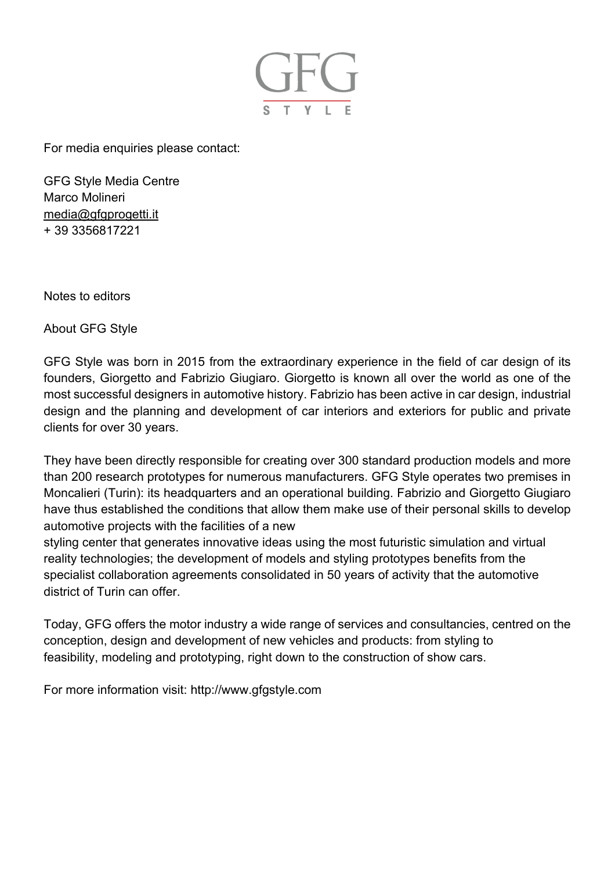

For media enquiries please contact:

GFG Style Media Centre Marco Molineri media@gfgprogetti.it + 39 3356817221

Notes to editors

About GFG Style

GFG Style was born in 2015 from the extraordinary experience in the field of car design of its founders, Giorgetto and Fabrizio Giugiaro. Giorgetto is known all over the world as one of the most successful designers in automotive history. Fabrizio has been active in car design, industrial design and the planning and development of car interiors and exteriors for public and private clients for over 30 years.

They have been directly responsible for creating over 300 standard production models and more than 200 research prototypes for numerous manufacturers. GFG Style operates two premises in Moncalieri (Turin): its headquarters and an operational building. Fabrizio and Giorgetto Giugiaro have thus established the conditions that allow them make use of their personal skills to develop automotive projects with the facilities of a new

styling center that generates innovative ideas using the most futuristic simulation and virtual reality technologies; the development of models and styling prototypes benefits from the specialist collaboration agreements consolidated in 50 years of activity that the automotive district of Turin can offer.

Today, GFG offers the motor industry a wide range of services and consultancies, centred on the conception, design and development of new vehicles and products: from styling to feasibility, modeling and prototyping, right down to the construction of show cars.

For more information visit: http://www.gfgstyle.com